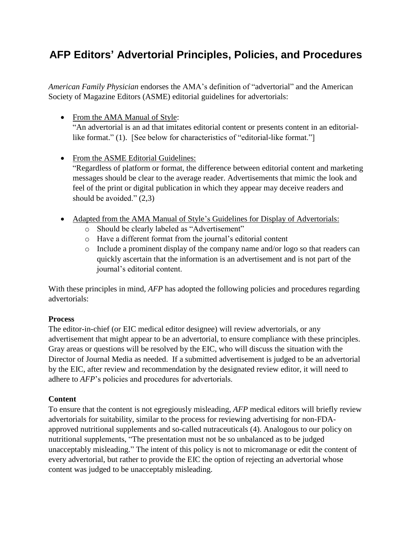# **AFP Editors' Advertorial Principles, Policies, and Procedures**

*American Family Physician* endorses the AMA's definition of "advertorial" and the American Society of Magazine Editors (ASME) editorial guidelines for advertorials:

- From the AMA Manual of Style: "An advertorial is an ad that imitates editorial content or presents content in an editoriallike format." (1). [See below for characteristics of "editorial-like format."]
- From the ASME Editorial Guidelines:

"Regardless of platform or format, the difference between editorial content and marketing messages should be clear to the average reader. Advertisements that mimic the look and feel of the print or digital publication in which they appear may deceive readers and should be avoided."  $(2,3)$ 

- Adapted from the AMA Manual of Style's Guidelines for Display of Advertorials:
	- o Should be clearly labeled as "Advertisement"
	- o Have a different format from the journal's editorial content
	- o Include a prominent display of the company name and/or logo so that readers can quickly ascertain that the information is an advertisement and is not part of the journal's editorial content.

With these principles in mind, *AFP* has adopted the following policies and procedures regarding advertorials:

## **Process**

The editor-in-chief (or EIC medical editor designee) will review advertorials, or any advertisement that might appear to be an advertorial, to ensure compliance with these principles. Gray areas or questions will be resolved by the EIC, who will discuss the situation with the Director of Journal Media as needed. If a submitted advertisement is judged to be an advertorial by the EIC, after review and recommendation by the designated review editor, it will need to adhere to *AFP*'s policies and procedures for advertorials.

# **Content**

To ensure that the content is not egregiously misleading, *AFP* medical editors will briefly review advertorials for suitability, similar to the process for reviewing advertising for non-FDAapproved nutritional supplements and so-called nutraceuticals (4). Analogous to our policy on nutritional supplements, "The presentation must not be so unbalanced as to be judged unacceptably misleading." The intent of this policy is not to micromanage or edit the content of every advertorial, but rather to provide the EIC the option of rejecting an advertorial whose content was judged to be unacceptably misleading.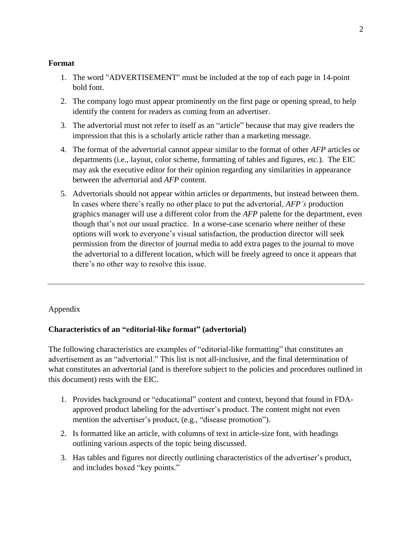#### **Format**

- 1. The word "ADVERTISEMENT" must be included at the top of each page in 14-point bold font.
- 2. The company logo must appear prominently on the first page or opening spread, to help identify the content for readers as coming from an advertiser.
- 3. The advertorial must not refer to itself as an "article" because that may give readers the impression that this is a scholarly article rather than a marketing message.
- 4. The format of the advertorial cannot appear similar to the format of other *AFP* articles or departments (i.e., layout, color scheme, formatting of tables and figures, etc.). The EIC may ask the executive editor for their opinion regarding any similarities in appearance between the advertorial and *AFP* content.
- 5. Advertorials should not appear within articles or departments, but instead between them. In cases where there's really no other place to put the advertorial, *AFP's* production graphics manager will use a different color from the *AFP* palette for the department, even though that's not our usual practice. In a worse-case scenario where neither of these options will work to everyone's visual satisfaction, the production director will seek permission from the director of journal media to add extra pages to the journal to move the advertorial to a different location, which will be freely agreed to once it appears that there's no other way to resolve this issue.

Appendix

# **Characteristics of an "editorial-like format" (advertorial)**

The following characteristics are examples of "editorial-like formatting" that constitutes an advertisement as an "advertorial." This list is not all-inclusive, and the final determination of what constitutes an advertorial (and is therefore subject to the policies and procedures outlined in this document) rests with the EIC.

- 1. Provides background or "educational" content and context, beyond that found in FDAapproved product labeling for the advertiser's product. The content might not even mention the advertiser's product, (e.g., "disease promotion").
- 2. Is formatted like an article, with columns of text in article-size font, with headings outlining various aspects of the topic being discussed.
- 3. Has tables and figures not directly outlining characteristics of the advertiser's product, and includes boxed "key points."